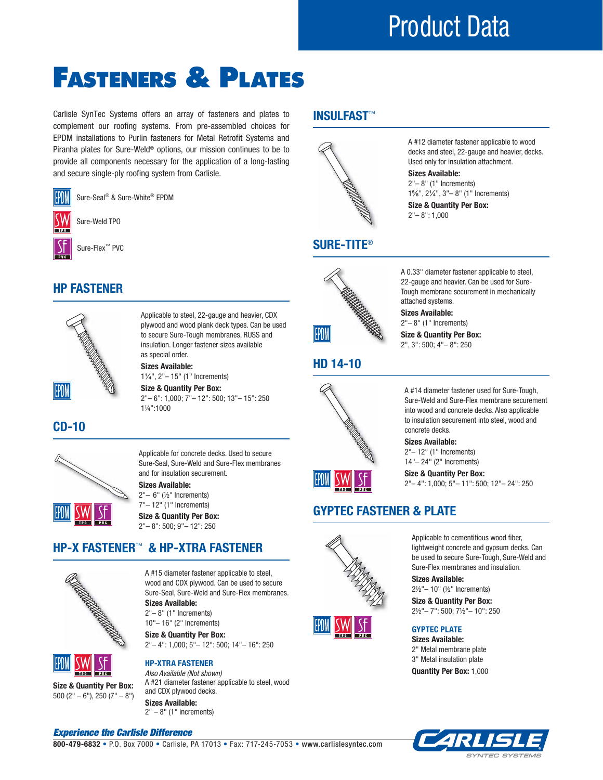# Product Data

# FASTENERS & PLATES

Carlisle SynTec Systems offers an array of fasteners and plates to complement our roofing systems. From pre-assembled choices for EPDM installations to Purlin fasteners for Metal Retrofit Systems and Piranha plates for Sure-Weld® options, our mission continues to be to provide all components necessary for the application of a long-lasting and secure single-ply roofing system from Carlisle.

Sure-Seal® & Sure-White® EPDM EP)M Sure-Weld TPO Ŋ Sure-Flex™ PVC

### **HP FASTENER**



Applicable to steel, 22-gauge and heavier, CDX plywood and wood plank deck types. Can be used to secure Sure-Tough membranes, RUSS and insulation. Longer fastener sizes available as special order.

**Sizes Available:**  1¼", 2"– 15" (1" Increments)

**Size & Quantity Per Box:**  2"– 6": 1,000; 7"– 12": 500; 13"– 15": 250 1¼":1000

 **CD-10**



Applicable for concrete decks. Used to secure Sure-Seal, Sure-Weld and Sure-Flex membranes and for insulation securement.

**Sizes Available:** 

2"– 6" (½" Increments) 7"– 12" (1" Increments)

**Size & Quantity Per Box:**  2"– 8": 500; 9"– 12": 250

## **HP-X FASTENER**™ **& HP-XTRA FASTENER**



A #15 diameter fastener applicable to steel, wood and CDX plywood. Can be used to secure Sure-Seal, Sure-Weld and Sure-Flex membranes. **Sizes Available:** 

2"– 8" (1" Increments) 10"– 16" (2" Increments)

**HP-XTRA FASTENER**

**Size & Quantity Per Box:**  2"– 4": 1,000; 5"– 12": 500; 14"– 16": 250



**Size & Quantity Per Box:** 500 (2" – 6"), 250 (7" – 8") *Also Available (Not shown)* A #21 diameter fastener applicable to steel, wood and CDX plywood decks. **Sizes Available:**  $2" - 8"$  (1" increments)

## **INSULFAST**™



A #12 diameter fastener applicable to wood decks and steel, 22-gauge and heavier, decks. Used only for insulation attachment.

**Sizes Available:**  2"– 8" (1" Increments) 1⅝", 2¼", 3"– 8" (1" Increments)

**Size & Quantity Per Box:** 2"– 8": 1,000



 **SURE-TITE**®

attached systems.

A 0.33" diameter fastener applicable to steel,

2"– 8" (1" Increments)

2", 3": 500; 4"– 8": 250

### **HD 14-10**



## **GYPTEC FASTENER & PLATE**





2½"– 10" (½" Increments) **Size & Quantity Per Box:** 2½"– 7": 500; 7½"– 10": 250  **GYPTEC PLATE**

 **Sizes Available:**  2" Metal membrane plate 3" Metal insulation plate **Quantity Per Box:** 1,000

**Sizes Available:** 



*Experience the Carlisle Difference*

**800-479-6832** • P.O. Box 7000 • Carlisle, PA 17013 • Fax: 717-245-7053 • www.carlislesyntec.com

22-gauge and heavier. Can be used for Sure-Tough membrane securement in mechanically **Sizes Available:** 

**Size & Quantity Per Box:** 

A #14 diameter fastener used for Sure-Tough, Sure-Weld and Sure-Flex membrane securement into wood and concrete decks. Also applicable to insulation securement into steel, wood and concrete decks. **Sizes Available:** 

2"– 12" (1" Increments) 14"– 24" (2" Increments)

**Size & Quantity Per Box:** 2"– 4": 1,000; 5"– 11": 500; 12"– 24": 250

Applicable to cementitious wood fiber, lightweight concrete and gypsum decks. Can be used to secure Sure-Tough, Sure-Weld and Sure-Flex membranes and insulation.